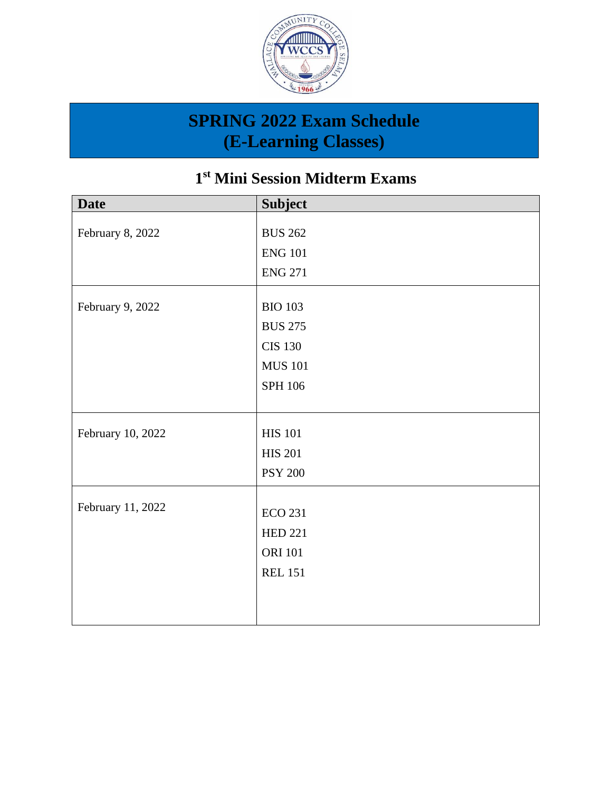

#### **1 st Mini Session Midterm Exams**

| <b>Date</b>       | <b>Subject</b> |
|-------------------|----------------|
|                   |                |
| February 8, 2022  | <b>BUS 262</b> |
|                   | <b>ENG 101</b> |
|                   | <b>ENG 271</b> |
| February 9, 2022  | <b>BIO 103</b> |
|                   | <b>BUS 275</b> |
|                   |                |
|                   | <b>CIS 130</b> |
|                   | <b>MUS 101</b> |
|                   | <b>SPH 106</b> |
|                   |                |
|                   |                |
| February 10, 2022 | <b>HIS 101</b> |
|                   | <b>HIS 201</b> |
|                   | <b>PSY 200</b> |
|                   |                |
| February 11, 2022 | <b>ECO 231</b> |
|                   | <b>HED 221</b> |
|                   | <b>ORI 101</b> |
|                   | <b>REL 151</b> |
|                   |                |
|                   |                |
|                   |                |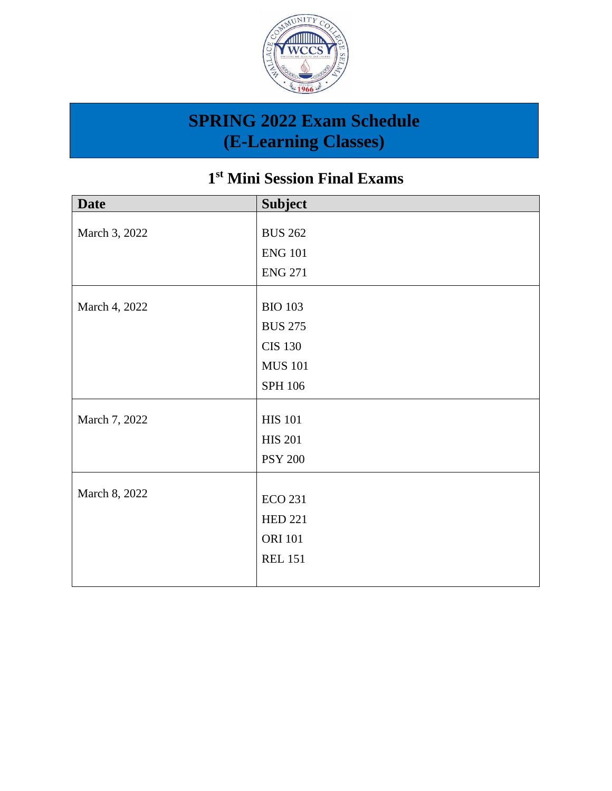

#### **1 st Mini Session Final Exams**

| <b>Date</b>   | <b>Subject</b> |
|---------------|----------------|
|               |                |
| March 3, 2022 | <b>BUS 262</b> |
|               | <b>ENG 101</b> |
|               | <b>ENG 271</b> |
| March 4, 2022 | <b>BIO 103</b> |
|               |                |
|               | <b>BUS 275</b> |
|               | <b>CIS 130</b> |
|               | <b>MUS 101</b> |
|               | <b>SPH 106</b> |
| March 7, 2022 | <b>HIS 101</b> |
|               |                |
|               | <b>HIS 201</b> |
|               | <b>PSY 200</b> |
|               |                |
| March 8, 2022 | <b>ECO 231</b> |
|               | <b>HED 221</b> |
|               | <b>ORI 101</b> |
|               | <b>REL 151</b> |
|               |                |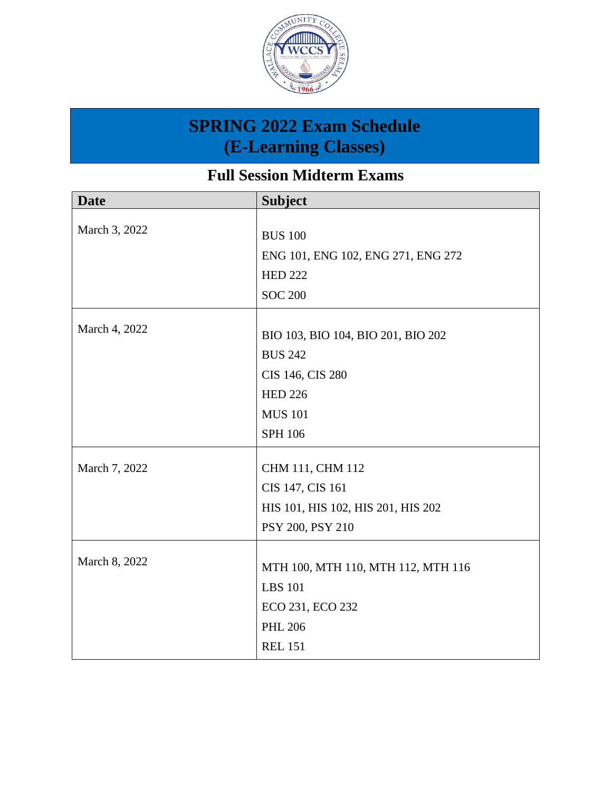

**Full Session Midterm Exams**

| <b>Date</b>   | <b>Subject</b>                     |
|---------------|------------------------------------|
|               |                                    |
| March 3, 2022 | <b>BUS 100</b>                     |
|               | ENG 101, ENG 102, ENG 271, ENG 272 |
|               | <b>HED 222</b>                     |
|               | <b>SOC 200</b>                     |
|               |                                    |
| March 4, 2022 | BIO 103, BIO 104, BIO 201, BIO 202 |
|               | <b>BUS 242</b>                     |
|               | CIS 146, CIS 280                   |
|               | <b>HED 226</b>                     |
|               | <b>MUS 101</b>                     |
|               | <b>SPH 106</b>                     |
| March 7, 2022 | CHM 111, CHM 112                   |
|               | CIS 147, CIS 161                   |
|               | HIS 101, HIS 102, HIS 201, HIS 202 |
|               | PSY 200, PSY 210                   |
|               |                                    |
| March 8, 2022 |                                    |
|               | MTH 100, MTH 110, MTH 112, MTH 116 |
|               | <b>LBS</b> 101                     |
|               | ECO 231, ECO 232                   |
|               | <b>PHL 206</b>                     |
|               | <b>REL 151</b>                     |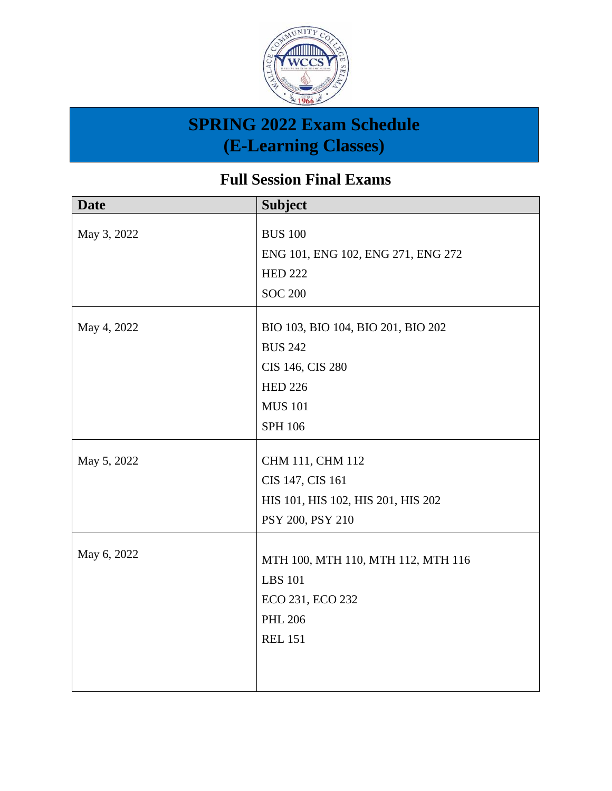

**Full Session Final Exams**

| <b>Date</b> | <b>Subject</b>                     |
|-------------|------------------------------------|
|             |                                    |
| May 3, 2022 | <b>BUS 100</b>                     |
|             | ENG 101, ENG 102, ENG 271, ENG 272 |
|             | <b>HED 222</b>                     |
|             | <b>SOC 200</b>                     |
| May 4, 2022 | BIO 103, BIO 104, BIO 201, BIO 202 |
|             | <b>BUS 242</b>                     |
|             | CIS 146, CIS 280                   |
|             | <b>HED 226</b>                     |
|             | <b>MUS 101</b>                     |
|             | SPH 106                            |
| May 5, 2022 | CHM 111, CHM 112                   |
|             | CIS 147, CIS 161                   |
|             | HIS 101, HIS 102, HIS 201, HIS 202 |
|             |                                    |
|             | PSY 200, PSY 210                   |
| May 6, 2022 |                                    |
|             | MTH 100, MTH 110, MTH 112, MTH 116 |
|             | <b>LBS</b> 101                     |
|             | ECO 231, ECO 232                   |
|             | <b>PHL 206</b>                     |
|             | <b>REL 151</b>                     |
|             |                                    |
|             |                                    |
|             |                                    |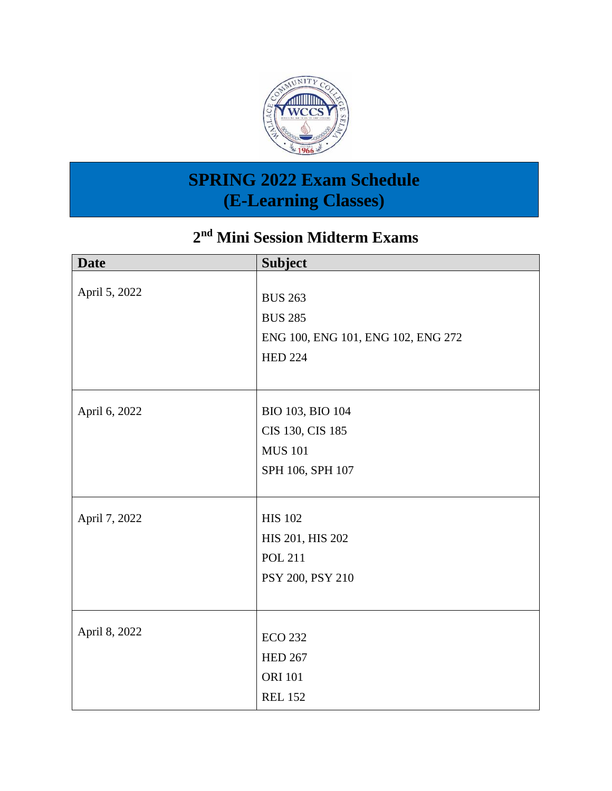

#### **2 nd Mini Session Midterm Exams**

| <b>Date</b>   | <b>Subject</b>                     |
|---------------|------------------------------------|
|               |                                    |
| April 5, 2022 | <b>BUS 263</b>                     |
|               | <b>BUS 285</b>                     |
|               | ENG 100, ENG 101, ENG 102, ENG 272 |
|               | <b>HED 224</b>                     |
|               |                                    |
|               |                                    |
| April 6, 2022 | BIO 103, BIO 104                   |
|               | CIS 130, CIS 185                   |
|               | <b>MUS 101</b>                     |
|               | SPH 106, SPH 107                   |
|               |                                    |
| April 7, 2022 | <b>HIS 102</b>                     |
|               | HIS 201, HIS 202                   |
|               | <b>POL 211</b>                     |
|               | PSY 200, PSY 210                   |
|               |                                    |
|               |                                    |
| April 8, 2022 | <b>ECO 232</b>                     |
|               | <b>HED 267</b>                     |
|               | <b>ORI 101</b>                     |
|               | <b>REL 152</b>                     |